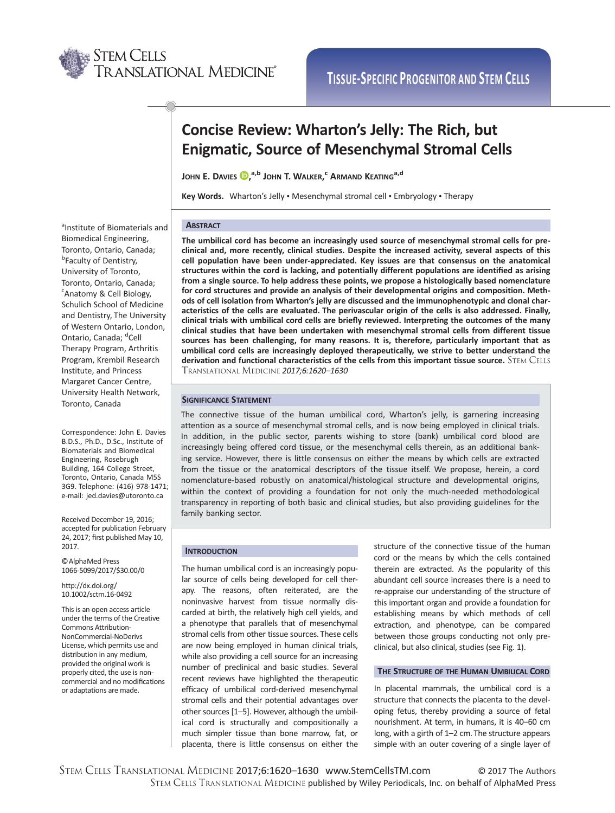

# Concise Review: Wharton's Jelly: The Rich, but Enigmatic, Source of Mesenchymal Stromal Cells

John E. Davies  $\mathbf{\mathbb{D}}^{,\text{a,b}}_t$  $\mathbf{\mathbb{D}}^{,\text{a,b}}_t$  $\mathbf{\mathbb{D}}^{,\text{a,b}}_t$  John T. Walker, $^{\text{c}}$  Armand Keating $^{\text{a,d}}$ 

Key Words. Wharton's Jelly • Mesenchymal stromal cell • Embryology • Therapy

## **ABSTRACT**

The umbilical cord has become an increasingly used source of mesenchymal stromal cells for preclinical and, more recently, clinical studies. Despite the increased activity, several aspects of this cell population have been under-appreciated. Key issues are that consensus on the anatomical structures within the cord is lacking, and potentially different populations are identified as arising from a single source. To help address these points, we propose a histologically based nomenclature for cord structures and provide an analysis of their developmental origins and composition. Methods of cell isolation from Wharton's jelly are discussed and the immunophenotypic and clonal characteristics of the cells are evaluated. The perivascular origin of the cells is also addressed. Finally, clinical trials with umbilical cord cells are briefly reviewed. Interpreting the outcomes of the many clinical studies that have been undertaken with mesenchymal stromal cells from different tissue sources has been challenging, for many reasons. It is, therefore, particularly important that as umbilical cord cells are increasingly deployed therapeutically, we strive to better understand the derivation and functional characteristics of the cells from this important tissue source. STEM CELLS TRANSLATIONAL MEDICINE 2017;6:1620–1630

## SIGNIFICANCE STATEMENT

The connective tissue of the human umbilical cord, Wharton's jelly, is garnering increasing attention as a source of mesenchymal stromal cells, and is now being employed in clinical trials. In addition, in the public sector, parents wishing to store (bank) umbilical cord blood are increasingly being offered cord tissue, or the mesenchymal cells therein, as an additional banking service. However, there is little consensus on either the means by which cells are extracted from the tissue or the anatomical descriptors of the tissue itself. We propose, herein, a cord nomenclature-based robustly on anatomical/histological structure and developmental origins, within the context of providing a foundation for not only the much-needed methodological transparency in reporting of both basic and clinical studies, but also providing guidelines for the family banking sector.

#### **INTRODUCTION**

The human umbilical cord is an increasingly popular source of cells being developed for cell therapy. The reasons, often reiterated, are the noninvasive harvest from tissue normally discarded at birth, the relatively high cell yields, and a phenotype that parallels that of mesenchymal stromal cells from other tissue sources. These cells are now being employed in human clinical trials, while also providing a cell source for an increasing number of preclinical and basic studies. Several recent reviews have highlighted the therapeutic efficacy of umbilical cord-derived mesenchymal stromal cells and their potential advantages over other sources [1–5]. However, although the umbilical cord is structurally and compositionally a much simpler tissue than bone marrow, fat, or placenta, there is little consensus on either the

structure of the connective tissue of the human cord or the means by which the cells contained therein are extracted. As the popularity of this abundant cell source increases there is a need to re-appraise our understanding of the structure of this important organ and provide a foundation for establishing means by which methods of cell extraction, and phenotype, can be compared between those groups conducting not only preclinical, but also clinical, studies (see Fig. 1).

#### THE STRUCTURE OF THE HUMAN UMBILICAL CORD

In placental mammals, the umbilical cord is a structure that connects the placenta to the developing fetus, thereby providing a source of fetal nourishment. At term, in humans, it is 40–60 cm long, with a girth of 1–2 cm. The structure appears simple with an outer covering of a single layer of

<sup>a</sup>Institute of Biomaterials and Biomedical Engineering, Toronto, Ontario, Canada; **b**Faculty of Dentistry, University of Toronto, Toronto, Ontario, Canada; <sup>c</sup>Anatomy & Cell Biology, Schulich School of Medicine and Dentistry, The University of Western Ontario, London, Ontario, Canada; <sup>d</sup>Cell Therapy Program, Arthritis Program, Krembil Research Institute, and Princess Margaret Cancer Centre, University Health Network, Toronto, Canada

Correspondence: John E. Davies B.D.S., Ph.D., D.Sc., Institute of Biomaterials and Biomedical Engineering, Rosebrugh Building, 164 College Street, Toronto, Ontario, Canada M5S 3G9. Telephone: (416) 978-1471; e-mail: jed.davies@utoronto.ca

Received December 19, 2016; accepted for publication February 24, 2017; first published May 10, 2017.

© AlphaMed Press 1066-5099/2017/\$30.00/0

http://dx.doi.org/ 10.1002/sctm.16-0492

This is an open access article under the terms of the [Creative](http://creativecommons.org/licenses/by-nc-nd/4.0/) [Commons Attribution-](http://creativecommons.org/licenses/by-nc-nd/4.0/)[NonCommercial-NoDerivs](http://creativecommons.org/licenses/by-nc-nd/4.0/) License, which permits use and distribution in any medium, provided the original work is properly cited, the use is noncommercial and no modifications or adaptations are made.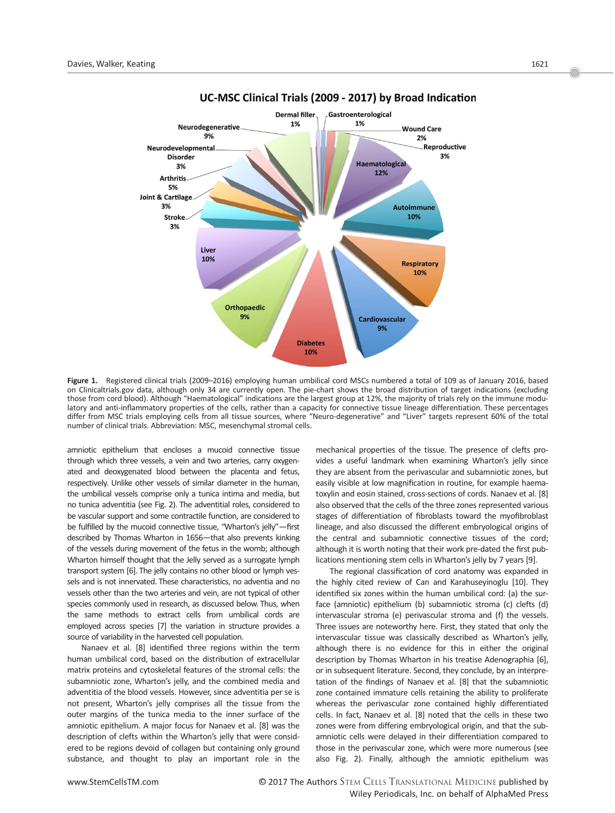

# UC-MSC Clinical Trials (2009 - 2017) by Broad Indication

Figure 1. Registered clinical trials (2009–2016) employing human umbilical cord MSCs numbered a total of 109 as of January 2016, based on Clinicaltrials.gov data, although only 34 are currently open. The pie-chart shows the broad distribution of target indications (excluding those from cord blood). Although "Haematological" indications are the largest group at 12%, the majority of trials rely on the immune modulatory and anti-inflammatory properties of the cells, rather than a capacity for connective tissue lineage differentiation. These percentages differ from MSC trials employing cells from all tissue sources, where "Neuro-degenerative" and "Liver" targets represent 60% of the total number of clinical trials. Abbreviation: MSC, mesenchymal stromal cells.

amniotic epithelium that encloses a mucoid connective tissue through which three vessels, a vein and two arteries, carry oxygenated and deoxygenated blood between the placenta and fetus, respectively. Unlike other vessels of similar diameter in the human, the umbilical vessels comprise only a tunica intima and media, but no tunica adventitia (see Fig. 2). The adventitial roles, considered to be vascular support and some contractile function, are considered to be fulfilled by the mucoid connective tissue, "Wharton's jelly"—first described by Thomas Wharton in 1656—that also prevents kinking of the vessels during movement of the fetus in the womb; although Wharton himself thought that the Jelly served as a surrogate lymph transport system [6]. The jelly contains no other blood or lymph vessels and is not innervated. These characteristics, no adventia and no vessels other than the two arteries and vein, are not typical of other species commonly used in research, as discussed below. Thus, when the same methods to extract cells from umbilical cords are employed across species [7] the variation in structure provides a source of variability in the harvested cell population.

Nanaev et al. [8] identified three regions within the term human umbilical cord, based on the distribution of extracellular matrix proteins and cytoskeletal features of the stromal cells: the subamniotic zone, Wharton's jelly, and the combined media and adventitia of the blood vessels. However, since adventitia per se is not present, Wharton's jelly comprises all the tissue from the outer margins of the tunica media to the inner surface of the amniotic epithelium. A major focus for Nanaev et al. [8] was the description of clefts within the Wharton's jelly that were considered to be regions devoid of collagen but containing only ground substance, and thought to play an important role in the mechanical properties of the tissue. The presence of clefts provides a useful landmark when examining Wharton's jelly since they are absent from the perivascular and subamniotic zones, but easily visible at low magnification in routine, for example haematoxylin and eosin stained, cross-sections of cords. Nanaev et al. [8] also observed that the cells of the three zones represented various stages of differentiation of fibroblasts toward the myofibroblast lineage, and also discussed the different embryological origins of the central and subamniotic connective tissues of the cord; although it is worth noting that their work pre-dated the first publications mentioning stem cells in Wharton's jelly by 7 years [9].

The regional classification of cord anatomy was expanded in the highly cited review of Can and Karahuseyinoglu [10]. They identified six zones within the human umbilical cord: (a) the surface (amniotic) epithelium (b) subamniotic stroma (c) clefts (d) intervascular stroma (e) perivascular stroma and (f) the vessels. Three issues are noteworthy here. First, they stated that only the intervascular tissue was classically described as Wharton's jelly, although there is no evidence for this in either the original description by Thomas Wharton in his treatise Adenographia [6], or in subsequent literature. Second, they conclude, by an interpretation of the findings of Nanaev et al. [8] that the subamniotic zone contained immature cells retaining the ability to proliferate whereas the perivascular zone contained highly differentiated cells. In fact, Nanaev et al. [8] noted that the cells in these two zones were from differing embryological origin, and that the subamniotic cells were delayed in their differentiation compared to those in the perivascular zone, which were more numerous (see also Fig. 2). Finally, although the amniotic epithelium was

www.StemCellsTM.com Oc 2017 The Authors STEM CELLS TRANSLATIONAL MEDICINE published by Wiley Periodicals, Inc. on behalf of AlphaMed Press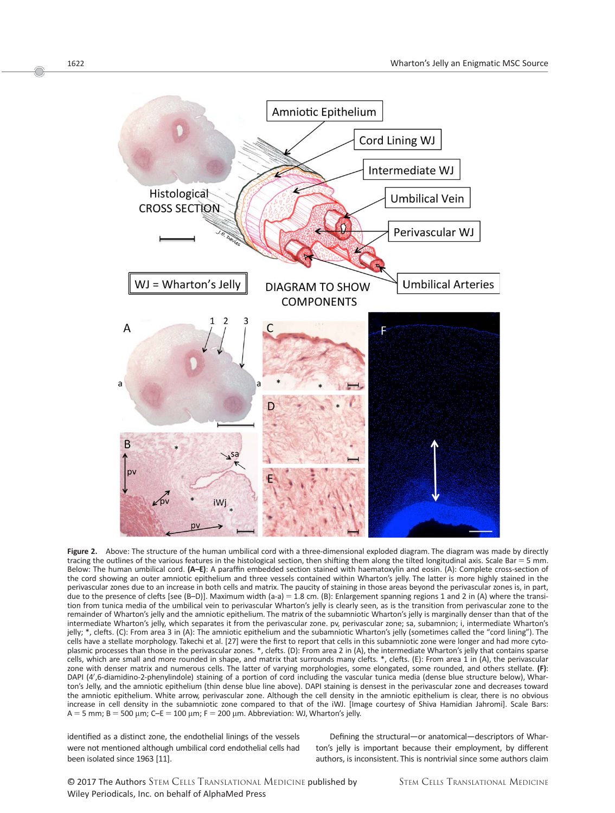

Figure 2. Above: The structure of the human umbilical cord with a three-dimensional exploded diagram. The diagram was made by directly tracing the outlines of the various features in the histological section, then shifting them along the tilted longitudinal axis. Scale Bar = 5 mm. Below: The human umbilical cord. (A–E): A paraffin embedded section stained with haematoxylin and eosin. (A): Complete cross-section of the cord showing an outer amniotic epithelium and three vessels contained within Wharton's jelly. The latter is more highly stained in the perivascular zones due to an increase in both cells and matrix. The paucity of staining in those areas beyond the perivascular zones is, in part, due to the presence of clefts [see (B–D)]. Maximum width (a-a) = 1.8 cm. (B): Enlargement spanning regions 1 and 2 in (A) where the transition from tunica media of the umbilical vein to perivascular Wharton's jelly is clearly seen, as is the transition from perivascular zone to the remainder of Wharton's jelly and the amniotic epithelium. The matrix of the subamniotic Wharton's jelly is marginally denser than that of the intermediate Wharton's jelly, which separates it from the perivascular zone. pv, perivascular zone; sa, subamnion; i, intermediate Wharton's jelly; \*, clefts. (C): From area 3 in (A): The amniotic epithelium and the subamniotic Wharton's jelly (sometimes called the "cord lining"). The cells have a stellate morphology. Takechi et al. [27] were the first to report that cells in this subamniotic zone were longer and had more cytoplasmic processes than those in the perivascular zones. \*, clefts. (D): From area 2 in (A), the intermediate Wharton's jelly that contains sparse cells, which are small and more rounded in shape, and matrix that surrounds many clefts. \*, clefts. (E): From area 1 in (A), the perivascular zone with denser matrix and numerous cells. The latter of varying morphologies, some elongated, some rounded, and others stellate. (F): DAPI (4',6-diamidino-2-phenylindole) staining of a portion of cord including the vascular tunica media (dense blue structure below), Wharton's Jelly, and the amniotic epithelium (thin dense blue line above). DAPI staining is densest in the perivascular zone and decreases toward the amniotic epithelium. White arrow, perivascular zone. Although the cell density in the amniotic epithelium is clear, there is no obvious increase in cell density in the subamniotic zone compared to that of the iWJ. [Image courtesy of Shiva Hamidian Jahromi]. Scale Bars:  $A = 5$  mm; B = 500 µm; C–E = 100 µm; F = 200 µm. Abbreviation: WJ, Wharton's jelly.

identified as a distinct zone, the endothelial linings of the vessels were not mentioned although umbilical cord endothelial cells had been isolated since 1963 [11].

Defining the structural—or anatomical—descriptors of Wharton's jelly is important because their employment, by different authors, is inconsistent. This is nontrivial since some authors claim

© 2017 The Authors STEM CELLS TRANSLATIONAL MEDICINE published by Wiley Periodicals, Inc. on behalf of AlphaMed Press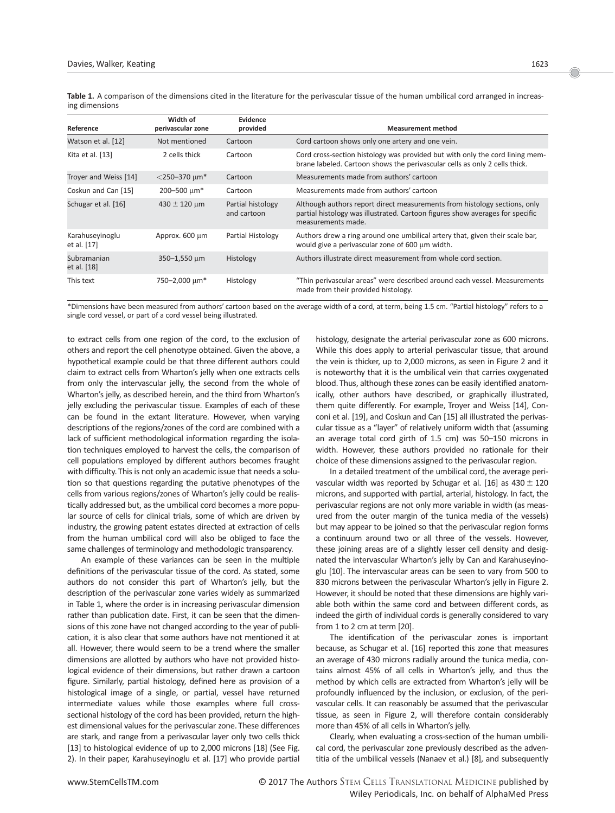Table 1. A comparison of the dimensions cited in the literature for the perivascular tissue of the human umbilical cord arranged in increasing dimensions

| Reference                      | Width of<br>perivascular zone | Evidence<br>provided             | <b>Measurement method</b>                                                                                                                                                        |  |
|--------------------------------|-------------------------------|----------------------------------|----------------------------------------------------------------------------------------------------------------------------------------------------------------------------------|--|
| Watson et al. [12]             | Not mentioned                 | Cartoon                          | Cord cartoon shows only one artery and one vein.                                                                                                                                 |  |
| Kita et al. [13]               | 2 cells thick                 | Cartoon                          | Cord cross-section histology was provided but with only the cord lining mem-<br>brane labeled. Cartoon shows the perivascular cells as only 2 cells thick.                       |  |
| Troyer and Weiss [14]          | $<$ 250–370 $\mu$ m*          | Cartoon                          | Measurements made from authors' cartoon                                                                                                                                          |  |
| Coskun and Can [15]            | 200-500 um*                   | Cartoon                          | Measurements made from authors' cartoon                                                                                                                                          |  |
| Schugar et al. [16]            | $430 \pm 120$ µm              | Partial histology<br>and cartoon | Although authors report direct measurements from histology sections, only<br>partial histology was illustrated. Cartoon figures show averages for specific<br>measurements made. |  |
| Karahuseyinoglu<br>et al. [17] | Approx. 600 µm                | Partial Histology                | Authors drew a ring around one umbilical artery that, given their scale bar,<br>would give a perivascular zone of 600 µm width.                                                  |  |
| Subramanian<br>et al. [18]     | 350-1,550 µm                  | Histology                        | Authors illustrate direct measurement from whole cord section.                                                                                                                   |  |
| This text                      | 750-2,000 um*                 | Histology                        | "Thin perivascular areas" were described around each vessel. Measurements<br>made from their provided histology.                                                                 |  |

\*Dimensions have been measured from authors' cartoon based on the average width of a cord, at term, being 1.5 cm. "Partial histology" refers to a single cord vessel, or part of a cord vessel being illustrated.

to extract cells from one region of the cord, to the exclusion of others and report the cell phenotype obtained. Given the above, a hypothetical example could be that three different authors could claim to extract cells from Wharton's jelly when one extracts cells from only the intervascular jelly, the second from the whole of Wharton's jelly, as described herein, and the third from Wharton's jelly excluding the perivascular tissue. Examples of each of these can be found in the extant literature. However, when varying descriptions of the regions/zones of the cord are combined with a lack of sufficient methodological information regarding the isolation techniques employed to harvest the cells, the comparison of cell populations employed by different authors becomes fraught with difficulty. This is not only an academic issue that needs a solution so that questions regarding the putative phenotypes of the cells from various regions/zones of Wharton's jelly could be realistically addressed but, as the umbilical cord becomes a more popular source of cells for clinical trials, some of which are driven by industry, the growing patent estates directed at extraction of cells from the human umbilical cord will also be obliged to face the same challenges of terminology and methodologic transparency.

An example of these variances can be seen in the multiple definitions of the perivascular tissue of the cord. As stated, some authors do not consider this part of Wharton's jelly, but the description of the perivascular zone varies widely as summarized in Table 1, where the order is in increasing perivascular dimension rather than publication date. First, it can be seen that the dimensions of this zone have not changed according to the year of publication, it is also clear that some authors have not mentioned it at all. However, there would seem to be a trend where the smaller dimensions are allotted by authors who have not provided histological evidence of their dimensions, but rather drawn a cartoon figure. Similarly, partial histology, defined here as provision of a histological image of a single, or partial, vessel have returned intermediate values while those examples where full crosssectional histology of the cord has been provided, return the highest dimensional values for the perivascular zone. These differences are stark, and range from a perivascular layer only two cells thick [13] to histological evidence of up to 2,000 microns [18] (See Fig. 2). In their paper, Karahuseyinoglu et al. [17] who provide partial

histology, designate the arterial perivascular zone as 600 microns. While this does apply to arterial perivascular tissue, that around the vein is thicker, up to 2,000 microns, as seen in Figure 2 and it is noteworthy that it is the umbilical vein that carries oxygenated blood. Thus, although these zones can be easily identified anatomically, other authors have described, or graphically illustrated, them quite differently. For example, Troyer and Weiss [14], Conconi et al. [19], and Coskun and Can [15] all illustrated the perivascular tissue as a "layer" of relatively uniform width that (assuming an average total cord girth of 1.5 cm) was 50–150 microns in width. However, these authors provided no rationale for their choice of these dimensions assigned to the perivascular region.

In a detailed treatment of the umbilical cord, the average perivascular width was reported by Schugar et al. [16] as  $430 \pm 120$ microns, and supported with partial, arterial, histology. In fact, the perivascular regions are not only more variable in width (as measured from the outer margin of the tunica media of the vessels) but may appear to be joined so that the perivascular region forms a continuum around two or all three of the vessels. However, these joining areas are of a slightly lesser cell density and designated the intervascular Wharton's jelly by Can and Karahuseyinoglu [10]. The intervascular areas can be seen to vary from 500 to 830 microns between the perivascular Wharton's jelly in Figure 2. However, it should be noted that these dimensions are highly variable both within the same cord and between different cords, as indeed the girth of individual cords is generally considered to vary from 1 to 2 cm at term [20].

The identification of the perivascular zones is important because, as Schugar et al. [16] reported this zone that measures an average of 430 microns radially around the tunica media, contains almost 45% of all cells in Wharton's jelly, and thus the method by which cells are extracted from Wharton's jelly will be profoundly influenced by the inclusion, or exclusion, of the perivascular cells. It can reasonably be assumed that the perivascular tissue, as seen in Figure 2, will therefore contain considerably more than 45% of all cells in Wharton's jelly.

Clearly, when evaluating a cross-section of the human umbilical cord, the perivascular zone previously described as the adventitia of the umbilical vessels (Nanaev et al.) [8], and subsequently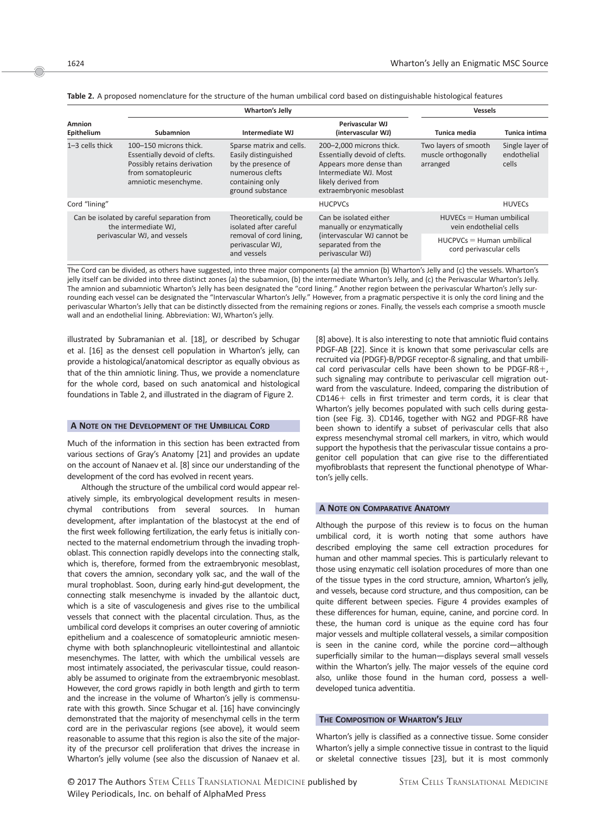| <b>Amnion</b><br>Epithelium                                                                        |                                                                                                                                      | <b>Vessels</b>                                                                                                                   |                                                                                                                                                                  |                                                         |                                         |
|----------------------------------------------------------------------------------------------------|--------------------------------------------------------------------------------------------------------------------------------------|----------------------------------------------------------------------------------------------------------------------------------|------------------------------------------------------------------------------------------------------------------------------------------------------------------|---------------------------------------------------------|-----------------------------------------|
|                                                                                                    | Subamnion                                                                                                                            | Intermediate WJ                                                                                                                  | Perivascular WJ<br>(intervascular WJ)                                                                                                                            | Tunica media                                            | Tunica intima                           |
| $1 - 3$ cells thick                                                                                | 100-150 microns thick.<br>Essentially devoid of clefts.<br>Possibly retains derivation<br>from somatopleuric<br>amniotic mesenchyme. | Sparse matrix and cells.<br>Easily distinguished<br>by the presence of<br>numerous clefts<br>containing only<br>ground substance | 200-2.000 microns thick.<br>Essentially devoid of clefts.<br>Appears more dense than<br>Intermediate WJ. Most<br>likely derived from<br>extraembryonic mesoblast | Two layers of smooth<br>muscle orthogonally<br>arranged | Single layer of<br>endothelial<br>cells |
| Cord "lining"                                                                                      |                                                                                                                                      |                                                                                                                                  | <b>HUCPVCs</b>                                                                                                                                                   |                                                         | <b>HUVECs</b>                           |
| Can be isolated by careful separation from<br>the intermediate WJ.<br>perivascular WJ, and vessels |                                                                                                                                      | Theoretically, could be<br>isolated after careful<br>removal of cord lining,<br>perivascular WJ,<br>and vessels                  | Can be isolated either<br>manually or enzymatically<br>(intervascular WJ cannot be<br>separated from the<br>perivascular WJ)                                     | $HUVECs = Human$ umbilical<br>vein endothelial cells    |                                         |
|                                                                                                    |                                                                                                                                      |                                                                                                                                  |                                                                                                                                                                  | $HUCPVCs = Human umbilical$<br>cord perivascular cells  |                                         |

Table 2. A proposed nomenclature for the structure of the human umbilical cord based on distinguishable histological features

The Cord can be divided, as others have suggested, into three major components (a) the amnion (b) Wharton's Jelly and (c) the vessels. Wharton's jelly itself can be divided into three distinct zones (a) the subamnion, (b) the intermediate Wharton's Jelly, and (c) the Perivascular Wharton's Jelly. The amnion and subamniotic Wharton's Jelly has been designated the "cord lining." Another region between the perivascular Wharton's Jelly surrounding each vessel can be designated the "Intervascular Wharton's Jelly." However, from a pragmatic perspective it is only the cord lining and the perivascular Wharton's Jelly that can be distinctly dissected from the remaining regions or zones. Finally, the vessels each comprise a smooth muscle wall and an endothelial lining. Abbreviation: WJ, Wharton's jelly.

illustrated by Subramanian et al. [18], or described by Schugar et al. [16] as the densest cell population in Wharton's jelly, can provide a histological/anatomical descriptor as equally obvious as that of the thin amniotic lining. Thus, we provide a nomenclature for the whole cord, based on such anatomical and histological foundations in Table 2, and illustrated in the diagram of Figure 2.

## A NOTE ON THE DEVELOPMENT OF THE UMBILICAL CORD

Much of the information in this section has been extracted from various sections of Gray's Anatomy [21] and provides an update on the account of Nanaev et al. [8] since our understanding of the development of the cord has evolved in recent years.

Although the structure of the umbilical cord would appear relatively simple, its embryological development results in mesenchymal contributions from several sources. In human development, after implantation of the blastocyst at the end of the first week following fertilization, the early fetus is initially connected to the maternal endometrium through the invading trophoblast. This connection rapidly develops into the connecting stalk, which is, therefore, formed from the extraembryonic mesoblast, that covers the amnion, secondary yolk sac, and the wall of the mural trophoblast. Soon, during early hind-gut development, the connecting stalk mesenchyme is invaded by the allantoic duct, which is a site of vasculogenesis and gives rise to the umbilical vessels that connect with the placental circulation. Thus, as the umbilical cord develops it comprises an outer covering of amniotic epithelium and a coalescence of somatopleuric amniotic mesenchyme with both splanchnopleuric vitellointestinal and allantoic mesenchymes. The latter, with which the umbilical vessels are most intimately associated, the perivascular tissue, could reasonably be assumed to originate from the extraembryonic mesoblast. However, the cord grows rapidly in both length and girth to term and the increase in the volume of Wharton's jelly is commensurate with this growth. Since Schugar et al. [16] have convincingly demonstrated that the majority of mesenchymal cells in the term cord are in the perivascular regions (see above), it would seem reasonable to assume that this region is also the site of the majority of the precursor cell proliferation that drives the increase in Wharton's jelly volume (see also the discussion of Nanaev et al.

[8] above). It is also interesting to note that amniotic fluid contains PDGF-AB [22]. Since it is known that some perivascular cells are recruited via (PDGF)-B/PDGF receptor-ß signaling, and that umbilical cord perivascular cells have been shown to be PDGF-R $B +$ , such signaling may contribute to perivascular cell migration outward from the vasculature. Indeed, comparing the distribution of  $CD146+$  cells in first trimester and term cords, it is clear that Wharton's jelly becomes populated with such cells during gestation (see Fig. 3). CD146, together with NG2 and PDGF-Rß have been shown to identify a subset of perivascular cells that also express mesenchymal stromal cell markers, in vitro, which would support the hypothesis that the perivascular tissue contains a progenitor cell population that can give rise to the differentiated myofibroblasts that represent the functional phenotype of Wharton's jelly cells.

## A NOTE ON COMPARATIVE ANATOMY

Although the purpose of this review is to focus on the human umbilical cord, it is worth noting that some authors have described employing the same cell extraction procedures for human and other mammal species. This is particularly relevant to those using enzymatic cell isolation procedures of more than one of the tissue types in the cord structure, amnion, Wharton's jelly, and vessels, because cord structure, and thus composition, can be quite different between species. Figure 4 provides examples of these differences for human, equine, canine, and porcine cord. In these, the human cord is unique as the equine cord has four major vessels and multiple collateral vessels, a similar composition is seen in the canine cord, while the porcine cord—although superficially similar to the human—displays several small vessels within the Wharton's jelly. The major vessels of the equine cord also, unlike those found in the human cord, possess a welldeveloped tunica adventitia.

## THE COMPOSITION OF WHARTON'S JELLY

Wharton's jelly is classified as a connective tissue. Some consider Wharton's jelly a simple connective tissue in contrast to the liquid or skeletal connective tissues [23], but it is most commonly

© 2017 The Authors Stem Cells Translational Medicine published by Wiley Periodicals, Inc. on behalf of AlphaMed Press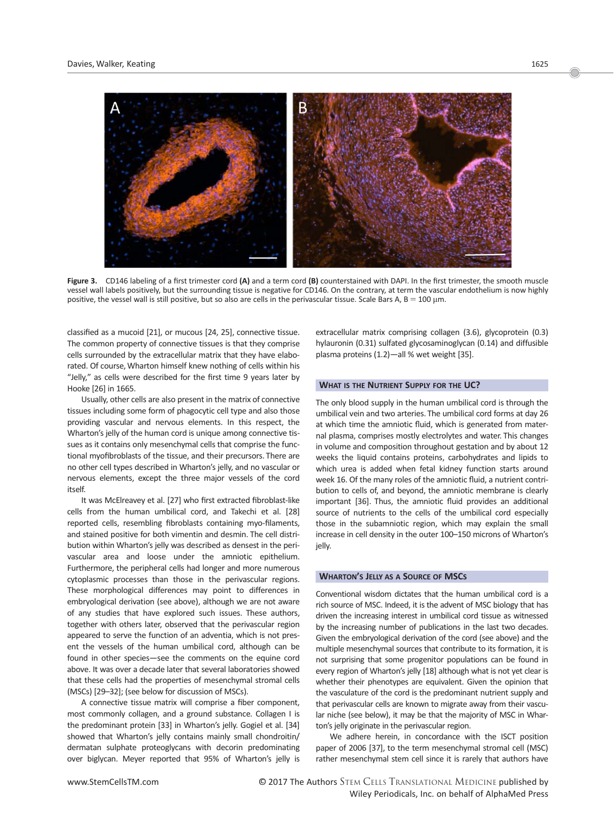

Figure 3. CD146 labeling of a first trimester cord  $(A)$  and a term cord  $(B)$  counterstained with DAPI. In the first trimester, the smooth muscle vessel wall labels positively, but the surrounding tissue is negative for CD146. On the contrary, at term the vascular endothelium is now highly positive, the vessel wall is still positive, but so also are cells in the perivascular tissue. Scale Bars A,  $B = 100 \mu m$ .

classified as a mucoid [21], or mucous [24, 25], connective tissue. The common property of connective tissues is that they comprise cells surrounded by the extracellular matrix that they have elaborated. Of course, Wharton himself knew nothing of cells within his "Jelly," as cells were described for the first time 9 years later by Hooke [26] in 1665.

Usually, other cells are also present in the matrix of connective tissues including some form of phagocytic cell type and also those providing vascular and nervous elements. In this respect, the Wharton's jelly of the human cord is unique among connective tissues as it contains only mesenchymal cells that comprise the functional myofibroblasts of the tissue, and their precursors. There are no other cell types described in Wharton's jelly, and no vascular or nervous elements, except the three major vessels of the cord itself.

It was McElreavey et al. [27] who first extracted fibroblast-like cells from the human umbilical cord, and Takechi et al. [28] reported cells, resembling fibroblasts containing myo-filaments, and stained positive for both vimentin and desmin. The cell distribution within Wharton's jelly was described as densest in the perivascular area and loose under the amniotic epithelium. Furthermore, the peripheral cells had longer and more numerous cytoplasmic processes than those in the perivascular regions. These morphological differences may point to differences in embryological derivation (see above), although we are not aware of any studies that have explored such issues. These authors, together with others later, observed that the perivascular region appeared to serve the function of an adventia, which is not present the vessels of the human umbilical cord, although can be found in other species—see the comments on the equine cord above. It was over a decade later that several laboratories showed that these cells had the properties of mesenchymal stromal cells (MSCs) [29–32]; (see below for discussion of MSCs).

A connective tissue matrix will comprise a fiber component, most commonly collagen, and a ground substance. Collagen I is the predominant protein [33] in Wharton's jelly. Gogiel et al. [34] showed that Wharton's jelly contains mainly small chondroitin/ dermatan sulphate proteoglycans with decorin predominating over biglycan. Meyer reported that 95% of Wharton's jelly is

extracellular matrix comprising collagen (3.6), glycoprotein (0.3) hylauronin (0.31) sulfated glycosaminoglycan (0.14) and diffusible plasma proteins (1.2)—all % wet weight [35].

## WHAT IS THE NUTRIENT SUPPLY FOR THE UC?

The only blood supply in the human umbilical cord is through the umbilical vein and two arteries. The umbilical cord forms at day 26 at which time the amniotic fluid, which is generated from maternal plasma, comprises mostly electrolytes and water. This changes in volume and composition throughout gestation and by about 12 weeks the liquid contains proteins, carbohydrates and lipids to which urea is added when fetal kidney function starts around week 16. Of the many roles of the amniotic fluid, a nutrient contribution to cells of, and beyond, the amniotic membrane is clearly important [36]. Thus, the amniotic fluid provides an additional source of nutrients to the cells of the umbilical cord especially those in the subamniotic region, which may explain the small increase in cell density in the outer 100–150 microns of Wharton's jelly.

#### WHARTON'S JELLY AS A SOURCE OF MSCS

Conventional wisdom dictates that the human umbilical cord is a rich source of MSC. Indeed, it is the advent of MSC biology that has driven the increasing interest in umbilical cord tissue as witnessed by the increasing number of publications in the last two decades. Given the embryological derivation of the cord (see above) and the multiple mesenchymal sources that contribute to its formation, it is not surprising that some progenitor populations can be found in every region of Wharton's jelly [18] although what is not yet clear is whether their phenotypes are equivalent. Given the opinion that the vasculature of the cord is the predominant nutrient supply and that perivascular cells are known to migrate away from their vascular niche (see below), it may be that the majority of MSC in Wharton's jelly originate in the perivascular region.

We adhere herein, in concordance with the ISCT position paper of 2006 [37], to the term mesenchymal stromal cell (MSC) rather mesenchymal stem cell since it is rarely that authors have

www.StemCellsTM.com Oc 2017 The Authors STEM CELLS TRANSLATIONAL MEDICINE published by Wiley Periodicals, Inc. on behalf of AlphaMed Press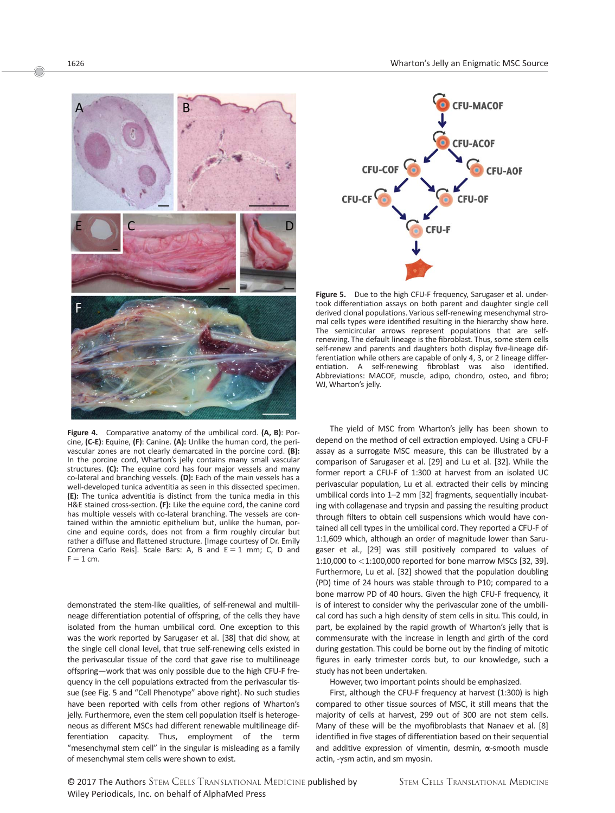

Figure 4. Comparative anatomy of the umbilical cord. (A, B): Porcine, (C-E): Equine, (F): Canine. (A): Unlike the human cord, the perivascular zones are not clearly demarcated in the porcine cord. (B): In the porcine cord, Wharton's jelly contains many small vascular structures. (C): The equine cord has four major vessels and many co-lateral and branching vessels. (D): Each of the main vessels has a well-developed tunica adventitia as seen in this dissected specimen. (E): The tunica adventitia is distinct from the tunica media in this H&E stained cross-section. (F): Like the equine cord, the canine cord has multiple vessels with co-lateral branching. The vessels are contained within the amniotic epithelium but, unlike the human, porcine and equine cords, does not from a firm roughly circular but rather a diffuse and flattened structure. [Image courtesy of Dr. Emily Correna Carlo Reis]. Scale Bars: A, B and  $E = 1$  mm; C, D and  $F = 1$  cm.

demonstrated the stem-like qualities, of self-renewal and multilineage differentiation potential of offspring, of the cells they have isolated from the human umbilical cord. One exception to this was the work reported by Sarugaser et al. [38] that did show, at the single cell clonal level, that true self-renewing cells existed in the perivascular tissue of the cord that gave rise to multilineage offspring—work that was only possible due to the high CFU-F frequency in the cell populations extracted from the perivascular tissue (see Fig. 5 and "Cell Phenotype" above right). No such studies have been reported with cells from other regions of Wharton's jelly. Furthermore, even the stem cell population itself is heterogeneous as different MSCs had different renewable multilineage differentiation capacity. Thus, employment of the term "mesenchymal stem cell" in the singular is misleading as a family of mesenchymal stem cells were shown to exist.



Figure 5. Due to the high CFU-F frequency, Sarugaser et al. undertook differentiation assays on both parent and daughter single cell derived clonal populations. Various self-renewing mesenchymal stromal cells types were identified resulting in the hierarchy show here. The semicircular arrows represent populations that are selfrenewing. The default lineage is the fibroblast. Thus, some stem cells self-renew and parents and daughters both display five-lineage differentiation while others are capable of only 4, 3, or 2 lineage differentiation. A self-renewing fibroblast was also identified. Abbreviations: MACOF, muscle, adipo, chondro, osteo, and fibro; WJ, Wharton's jelly.

The yield of MSC from Wharton's jelly has been shown to depend on the method of cell extraction employed. Using a CFU-F assay as a surrogate MSC measure, this can be illustrated by a comparison of Sarugaser et al. [29] and Lu et al. [32]. While the former report a CFU-F of 1:300 at harvest from an isolated UC perivascular population, Lu et al. extracted their cells by mincing umbilical cords into 1–2 mm [32] fragments, sequentially incubating with collagenase and trypsin and passing the resulting product through filters to obtain cell suspensions which would have contained all cell types in the umbilical cord. They reported a CFU-F of 1:1,609 which, although an order of magnitude lower than Sarugaser et al., [29] was still positively compared to values of 1:10,000 to <1:100,000 reported for bone marrow MSCs [32, 39]. Furthermore, Lu et al. [32] showed that the population doubling (PD) time of 24 hours was stable through to P10; compared to a bone marrow PD of 40 hours. Given the high CFU-F frequency, it is of interest to consider why the perivascular zone of the umbilical cord has such a high density of stem cells in situ. This could, in part, be explained by the rapid growth of Wharton's jelly that is commensurate with the increase in length and girth of the cord during gestation. This could be borne out by the finding of mitotic figures in early trimester cords but, to our knowledge, such a study has not been undertaken.

However, two important points should be emphasized.

First, although the CFU-F frequency at harvest (1:300) is high compared to other tissue sources of MSC, it still means that the majority of cells at harvest, 299 out of 300 are not stem cells. Many of these will be the myofibroblasts that Nanaev et al. [8] identified in five stages of differentiation based on their sequential and additive expression of vimentin, desmin,  $\alpha$ -smooth muscle  $actin$ , - $\gamma$ sm actin, and sm myosin.

© 2017 The Authors Stem Cells Translational Medicine published by Wiley Periodicals, Inc. on behalf of AlphaMed Press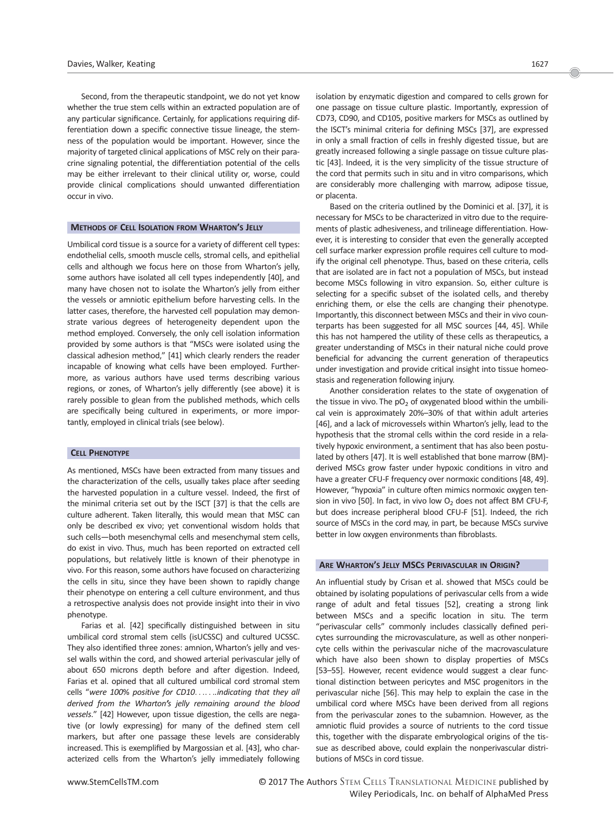Second, from the therapeutic standpoint, we do not yet know whether the true stem cells within an extracted population are of any particular significance. Certainly, for applications requiring differentiation down a specific connective tissue lineage, the stemness of the population would be important. However, since the majority of targeted clinical applications of MSC rely on their paracrine signaling potential, the differentiation potential of the cells may be either irrelevant to their clinical utility or, worse, could provide clinical complications should unwanted differentiation occur in vivo.

#### METHODS OF CELL ISOLATION FROM WHARTON'S JELLY

Umbilical cord tissue is a source for a variety of different cell types: endothelial cells, smooth muscle cells, stromal cells, and epithelial cells and although we focus here on those from Wharton's jelly, some authors have isolated all cell types independently [40], and many have chosen not to isolate the Wharton's jelly from either the vessels or amniotic epithelium before harvesting cells. In the latter cases, therefore, the harvested cell population may demonstrate various degrees of heterogeneity dependent upon the method employed. Conversely, the only cell isolation information provided by some authors is that "MSCs were isolated using the classical adhesion method," [41] which clearly renders the reader incapable of knowing what cells have been employed. Furthermore, as various authors have used terms describing various regions, or zones, of Wharton's jelly differently (see above) it is rarely possible to glean from the published methods, which cells are specifically being cultured in experiments, or more importantly, employed in clinical trials (see below).

### CELL PHENOTYPE

As mentioned, MSCs have been extracted from many tissues and the characterization of the cells, usually takes place after seeding the harvested population in a culture vessel. Indeed, the first of the minimal criteria set out by the ISCT [37] is that the cells are culture adherent. Taken literally, this would mean that MSC can only be described ex vivo; yet conventional wisdom holds that such cells—both mesenchymal cells and mesenchymal stem cells, do exist in vivo. Thus, much has been reported on extracted cell populations, but relatively little is known of their phenotype in vivo. For this reason, some authors have focused on characterizing the cells in situ, since they have been shown to rapidly change their phenotype on entering a cell culture environment, and thus a retrospective analysis does not provide insight into their in vivo phenotype.

Farias et al. [42] specifically distinguished between in situ umbilical cord stromal stem cells (isUCSSC) and cultured UCSSC. They also identified three zones: amnion, Wharton's jelly and vessel walls within the cord, and showed arterial perivascular jelly of about 650 microns depth before and after digestion. Indeed, Farias et al. opined that all cultured umbilical cord stromal stem cells "were 100% positive for CD10. . .. . ..indicating that they all derived from the Wharton's jelly remaining around the blood vessels." [42] However, upon tissue digestion, the cells are negative (or lowly expressing) for many of the defined stem cell markers, but after one passage these levels are considerably increased. This is exemplified by Margossian et al. [43], who characterized cells from the Wharton's jelly immediately following

isolation by enzymatic digestion and compared to cells grown for one passage on tissue culture plastic. Importantly, expression of CD73, CD90, and CD105, positive markers for MSCs as outlined by the ISCT's minimal criteria for defining MSCs [37], are expressed in only a small fraction of cells in freshly digested tissue, but are greatly increased following a single passage on tissue culture plastic [43]. Indeed, it is the very simplicity of the tissue structure of the cord that permits such in situ and in vitro comparisons, which are considerably more challenging with marrow, adipose tissue, or placenta.

Based on the criteria outlined by the Dominici et al. [37], it is necessary for MSCs to be characterized in vitro due to the requirements of plastic adhesiveness, and trilineage differentiation. However, it is interesting to consider that even the generally accepted cell surface marker expression profile requires cell culture to modify the original cell phenotype. Thus, based on these criteria, cells that are isolated are in fact not a population of MSCs, but instead become MSCs following in vitro expansion. So, either culture is selecting for a specific subset of the isolated cells, and thereby enriching them, or else the cells are changing their phenotype. Importantly, this disconnect between MSCs and their in vivo counterparts has been suggested for all MSC sources [44, 45]. While this has not hampered the utility of these cells as therapeutics, a greater understanding of MSCs in their natural niche could prove beneficial for advancing the current generation of therapeutics under investigation and provide critical insight into tissue homeostasis and regeneration following injury.

Another consideration relates to the state of oxygenation of the tissue in vivo. The  $pO<sub>2</sub>$  of oxygenated blood within the umbilical vein is approximately 20%–30% of that within adult arteries [46], and a lack of microvessels within Wharton's jelly, lead to the hypothesis that the stromal cells within the cord reside in a relatively hypoxic environment, a sentiment that has also been postulated by others [47]. It is well established that bone marrow (BM) derived MSCs grow faster under hypoxic conditions in vitro and have a greater CFU-F frequency over normoxic conditions [48, 49]. However, "hypoxia" in culture often mimics normoxic oxygen tension in vivo [50]. In fact, in vivo low  $O<sub>2</sub>$  does not affect BM CFU-F, but does increase peripheral blood CFU-F [51]. Indeed, the rich source of MSCs in the cord may, in part, be because MSCs survive better in low oxygen environments than fibroblasts.

#### ARE WHARTON'S JELLY MSCS PERIVASCULAR IN ORIGIN?

An influential study by Crisan et al. showed that MSCs could be obtained by isolating populations of perivascular cells from a wide range of adult and fetal tissues [52], creating a strong link between MSCs and a specific location in situ. The term "perivascular cells" commonly includes classically defined pericytes surrounding the microvasculature, as well as other nonpericyte cells within the perivascular niche of the macrovasculature which have also been shown to display properties of MSCs [53–55]. However, recent evidence would suggest a clear functional distinction between pericytes and MSC progenitors in the perivascular niche [56]. This may help to explain the case in the umbilical cord where MSCs have been derived from all regions from the perivascular zones to the subamnion. However, as the amniotic fluid provides a source of nutrients to the cord tissue this, together with the disparate embryological origins of the tissue as described above, could explain the nonperivascular distributions of MSCs in cord tissue.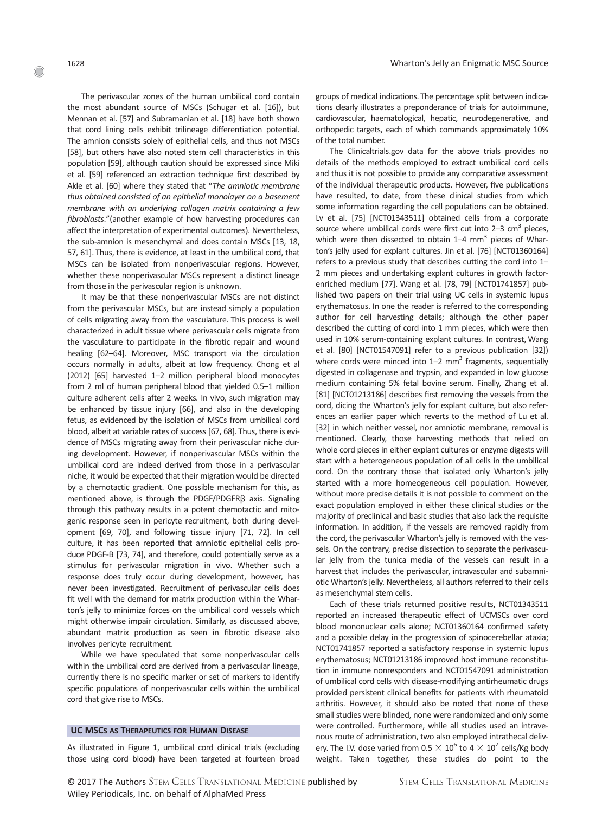The perivascular zones of the human umbilical cord contain the most abundant source of MSCs (Schugar et al. [16]), but Mennan et al. [57] and Subramanian et al. [18] have both shown that cord lining cells exhibit trilineage differentiation potential. The amnion consists solely of epithelial cells, and thus not MSCs [58], but others have also noted stem cell characteristics in this population [59], although caution should be expressed since Miki et al. [59] referenced an extraction technique first described by Akle et al. [60] where they stated that "The amniotic membrane thus obtained consisted of an epithelial monolayer on a basement membrane with an underlying collagen matrix containing a few fibroblasts."(another example of how harvesting procedures can affect the interpretation of experimental outcomes). Nevertheless, the sub-amnion is mesenchymal and does contain MSCs [13, 18, 57, 61]. Thus, there is evidence, at least in the umbilical cord, that MSCs can be isolated from nonperivascular regions. However, whether these nonperivascular MSCs represent a distinct lineage from those in the perivascular region is unknown.

It may be that these nonperivascular MSCs are not distinct from the perivascular MSCs, but are instead simply a population of cells migrating away from the vasculature. This process is well characterized in adult tissue where perivascular cells migrate from the vasculature to participate in the fibrotic repair and wound healing [62–64]. Moreover, MSC transport via the circulation occurs normally in adults, albeit at low frequency. Chong et al (2012) [65] harvested 1–2 million peripheral blood monocytes from 2 ml of human peripheral blood that yielded 0.5–1 million culture adherent cells after 2 weeks. In vivo, such migration may be enhanced by tissue injury [66], and also in the developing fetus, as evidenced by the isolation of MSCs from umbilical cord blood, albeit at variable rates of success [67, 68]. Thus, there is evidence of MSCs migrating away from their perivascular niche during development. However, if nonperivascular MSCs within the umbilical cord are indeed derived from those in a perivascular niche, it would be expected that their migration would be directed by a chemotactic gradient. One possible mechanism for this, as mentioned above, is through the PDGF/PDGFR $\beta$  axis. Signaling through this pathway results in a potent chemotactic and mitogenic response seen in pericyte recruitment, both during development [69, 70], and following tissue injury [71, 72]. In cell culture, it has been reported that amniotic epithelial cells produce PDGF-B [73, 74], and therefore, could potentially serve as a stimulus for perivascular migration in vivo. Whether such a response does truly occur during development, however, has never been investigated. Recruitment of perivascular cells does fit well with the demand for matrix production within the Wharton's jelly to minimize forces on the umbilical cord vessels which might otherwise impair circulation. Similarly, as discussed above, abundant matrix production as seen in fibrotic disease also involves pericyte recruitment.

While we have speculated that some nonperivascular cells within the umbilical cord are derived from a perivascular lineage, currently there is no specific marker or set of markers to identify specific populations of nonperivascular cells within the umbilical cord that give rise to MSCs.

## UC MSCS AS THERAPEUTICS FOR HUMAN DISEASE

As illustrated in Figure 1, umbilical cord clinical trials (excluding those using cord blood) have been targeted at fourteen broad groups of medical indications. The percentage split between indications clearly illustrates a preponderance of trials for autoimmune, cardiovascular, haematological, hepatic, neurodegenerative, and orthopedic targets, each of which commands approximately 10% of the total number.

The Clinicaltrials.gov data for the above trials provides no details of the methods employed to extract umbilical cord cells and thus it is not possible to provide any comparative assessment of the individual therapeutic products. However, five publications have resulted, to date, from these clinical studies from which some information regarding the cell populations can be obtained. Lv et al. [75] [NCT01343511] obtained cells from a corporate source where umbilical cords were first cut into  $2-3$  cm<sup>3</sup> pieces, which were then dissected to obtain  $1-4$  mm<sup>3</sup> pieces of Wharton's jelly used for explant cultures. Jin et al. [76] [NCT01360164] refers to a previous study that describes cutting the cord into 1– 2 mm pieces and undertaking explant cultures in growth factorenriched medium [77]. Wang et al. [78, 79] [NCT01741857] published two papers on their trial using UC cells in systemic lupus erythematosus. In one the reader is referred to the corresponding author for cell harvesting details; although the other paper described the cutting of cord into 1 mm pieces, which were then used in 10% serum-containing explant cultures. In contrast, Wang et al. [80] [NCT01547091] refer to a previous publication [32]) where cords were minced into  $1-2$  mm<sup>3</sup> fragments, sequentially digested in collagenase and trypsin, and expanded in low glucose medium containing 5% fetal bovine serum. Finally, Zhang et al. [81] [NCT01213186] describes first removing the vessels from the cord, dicing the Wharton's jelly for explant culture, but also references an earlier paper which reverts to the method of Lu et al. [32] in which neither vessel, nor amniotic membrane, removal is mentioned. Clearly, those harvesting methods that relied on whole cord pieces in either explant cultures or enzyme digests will start with a heterogeneous population of all cells in the umbilical cord. On the contrary those that isolated only Wharton's jelly started with a more homeogeneous cell population. However, without more precise details it is not possible to comment on the exact population employed in either these clinical studies or the majority of preclinical and basic studies that also lack the requisite information. In addition, if the vessels are removed rapidly from the cord, the perivascular Wharton's jelly is removed with the vessels. On the contrary, precise dissection to separate the perivascular jelly from the tunica media of the vessels can result in a harvest that includes the perivascular, intravascular and subamniotic Wharton's jelly. Nevertheless, all authors referred to their cells as mesenchymal stem cells.

Each of these trials returned positive results, NCT01343511 reported an increased therapeutic effect of UCMSCs over cord blood mononuclear cells alone; NCT01360164 confirmed safety and a possible delay in the progression of spinocerebellar ataxia; NCT01741857 reported a satisfactory response in systemic lupus erythematosus; NCT01213186 improved host immune reconstitution in immune nonresponders and NCT01547091 administration of umbilical cord cells with disease-modifying antirheumatic drugs provided persistent clinical benefits for patients with rheumatoid arthritis. However, it should also be noted that none of these small studies were blinded, none were randomized and only some were controlled. Furthermore, while all studies used an intravenous route of administration, two also employed intrathecal delivery. The I.V. dose varied from 0.5  $\times$  10<sup>6</sup> to 4  $\times$  10<sup>7</sup> cells/Kg body weight. Taken together, these studies do point to the

© 2017 The Authors Stem Cells Translational Medicine published by Wiley Periodicals, Inc. on behalf of AlphaMed Press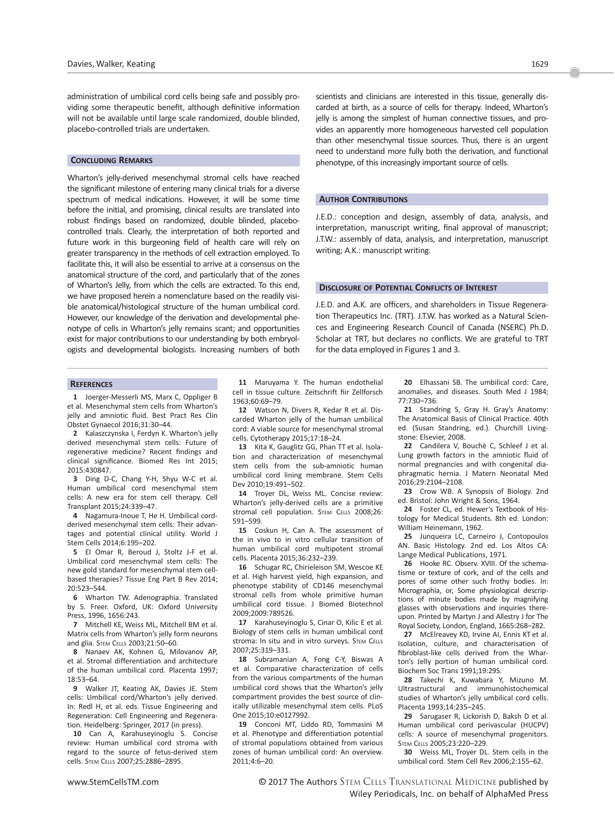administration of umbilical cord cells being safe and possibly providing some therapeutic benefit, although definitive information will not be available until large scale randomized, double blinded, placebo-controlled trials are undertaken.

### CONCLUDING REMARKS

Wharton's jelly-derived mesenchymal stromal cells have reached the significant milestone of entering many clinical trials for a diverse spectrum of medical indications. However, it will be some time before the initial, and promising, clinical results are translated into robust findings based on randomized, double blinded, placebocontrolled trials. Clearly, the interpretation of both reported and future work in this burgeoning field of health care will rely on greater transparency in the methods of cell extraction employed. To facilitate this, it will also be essential to arrive at a consensus on the anatomical structure of the cord, and particularly that of the zones of Wharton's Jelly, from which the cells are extracted. To this end, we have proposed herein a nomenclature based on the readily visible anatomical/histological structure of the human umbilical cord. However, our knowledge of the derivation and developmental phenotype of cells in Wharton's jelly remains scant; and opportunities exist for major contributions to our understanding by both embryologists and developmental biologists. Increasing numbers of both

1 Joerger-Messerli MS, Marx C, Oppliger B et al. Mesenchymal stem cells from Wharton's jelly and amniotic fluid. Best Pract Res Clin Obstet Gynaecol 2016;31:30–44.

2 Kalaszczynska I, Ferdyn K. Wharton's jelly derived mesenchymal stem cells: Future of regenerative medicine? Recent findings and clinical significance. Biomed Res Int 2015; 2015:430847.

3 Ding D-C, Chang Y-H, Shyu W-C et al. Human umbilical cord mesenchymal stem cells: A new era for stem cell therapy. Cell Transplant 2015;24:339–47.

4 Nagamura-Inoue T, He H. Umbilical cordderived mesenchymal stem cells: Their advantages and potential clinical utility. World J Stem Cells 2014;6:195–202.

5 El Omar R, Beroud J, Stoltz J-F et al. Umbilical cord mesenchymal stem cells: The new gold standard for mesenchymal stem cellbased therapies? Tissue Eng Part B Rev 2014; 20:523–544.

6 Wharton TW. Adenographia. Translated by S. Freer. Oxford, UK: Oxford University Press, 1996, 1656:243.

7 Mitchell KE, Weiss ML, Mitchell BM et al. Matrix cells from Wharton's jelly form neurons and glia. STEM CELLS 2003;21:50–60.

8 Nanaev AK, Kohnen G, Milovanov AP, et al. Stromal differentiation and architecture of the human umbilical cord. Placenta 1997; 18:53–64.

9 Walker JT, Keating AK, Davies JE. Stem cells: Umbilical cord/Wharton's jelly derived. In: Redl H, et al. eds. Tissue Engineering and Regeneration: Cell Engineering and Regeneration. Heidelberg: Springer, 2017 (in press).

10 Can A, Karahuseyinoglu S. Concise review: Human umbilical cord stroma with regard to the source of fetus-derived stem cells. STEM CELLS 2007;25:2886–2895.

11 Maruvama Y. The human endothelial cell in tissue culture. Zeitschrift fiir Zellforsch 1963;60:69–79.

12 Watson N, Divers R, Kedar R et al. Discarded Wharton jelly of the human umbilical cord: A viable source for mesenchymal stromal cells. Cytotherapy 2015;17:18–24.

13 Kita K, Gauglitz GG, Phan TT et al. Isolation and characterization of mesenchymal stem cells from the sub-amniotic human umbilical cord lining membrane. Stem Cells Dev 2010;19:491–502.

14 Troyer DL, Weiss ML. Concise review: Wharton's jelly-derived cells are a primitive stromal cell population. STEM CELLS 2008;26: 591–599.

15 Coskun H, Can A. The assessment of the in vivo to in vitro cellular transition of human umbilical cord multipotent stromal cells. Placenta 2015;36:232–239.

16 Schugar RC, Chirieleison SM, Wescoe KE et al. High harvest yield, high expansion, and phenotype stability of CD146 mesenchymal stromal cells from whole primitive human umbilical cord tissue. J Biomed Biotechnol 2009;2009:789526.

17 Karahuseyinoglu S, Cinar O, Kilic E et al. Biology of stem cells in human umbilical cord stroma: In situ and in vitro surveys. STEM CELLS 2007;25:319–331.

18 Subramanian A, Fong C-Y, Biswas A et al. Comparative characterization of cells from the various compartments of the human umbilical cord shows that the Wharton's jelly compartment provides the best source of clinically utilizable mesenchymal stem cells. PLoS One 2015;10:e0127992.

19 Conconi MT, Liddo RD, Tommasini M et al. Phenotype and differentiation potential of stromal populations obtained from various zones of human umbilical cord: An overview. 2011;4:6–20.

scientists and clinicians are interested in this tissue, generally discarded at birth, as a source of cells for therapy. Indeed, Wharton's jelly is among the simplest of human connective tissues, and provides an apparently more homogeneous harvested cell population than other mesenchymal tissue sources. Thus, there is an urgent need to understand more fully both the derivation, and functional

#### AUTHOR CONTRIBUTIONS

J.E.D.: conception and design, assembly of data, analysis, and interpretation, manuscript writing, final approval of manuscript; J.T.W.: assembly of data, analysis, and interpretation, manuscript writing; A.K.: manuscript writing.

#### DISCLOSURE OF POTENTIAL CONFLICTS OF INTEREST

phenotype, of this increasingly important source of cells.

J.E.D. and A.K. are officers, and shareholders in Tissue Regeneration Therapeutics Inc. (TRT). J.T.W. has worked as a Natural Sciences and Engineering Research Council of Canada (NSERC) Ph.D. Scholar at TRT, but declares no conflicts. We are grateful to TRT for the data employed in Figures 1 and 3.

> 20 Elhassani SB. The umbilical cord: Care, anomalies, and diseases. South Med J 1984; 77:730–736.

> 21 Standring S, Gray H. Gray's Anatomy: The Anatomical Basis of Clinical Practice. 40th ed. (Susan Standring, ed.). Churchill Livingstone: Elsevier, 2008.

> 22 Candilera V, Bouchè C, Schleef J et al. Lung growth factors in the amniotic fluid of normal pregnancies and with congenital diaphragmatic hernia. J Matern Neonatal Med 2016;29:2104–2108.

> 23 Crow WB. A Synopsis of Biology. 2nd ed. Bristol: John Wright & Sons, 1964.

> 24 Foster CL, ed. Hewer's Textbook of Histology for Medical Students. 8th ed. London: William Heinemann, 1962.

> 25 Junqueira LC, Carneiro J, Contopoulos AN. Basic Histology. 2nd ed. Los Altos CA: Lange Medical Publications, 1971.

> 26 Hooke RC. Observ. XVIII. Of the schematisme or texture of cork, and of the cells and pores of some other such frothy bodies. In: Micrographia, or, Some physiological descriptions of minute bodies made by magnifying glasses with observations and inquiries thereupon. Printed by Martyn J and Allestry J for The Royal Society, London, England, 1665:268–282.

> 27 McElreavey KD, Irvine AI, Ennis KT et al. Isolation, culture, and characterisation of fibroblast-like cells derived from the Wharton's Jelly portion of human umbilical cord. Biochem Soc Trans 1991;19:29S.

> 28 Takechi K, Kuwabara Y, Mizuno M. Ultrastructural and immunohistochemical studies of Wharton's jelly umbilical cord cells. Placenta 1993;14:235–245.

> 29 Sarugaser R, Lickorish D, Baksh D et al. Human umbilical cord perivascular (HUCPV) cells: A source of mesenchymal progenitors. STEM CELLS 2005:23:220-229.

> 30 Weiss ML, Troyer DL. Stem cells in the umbilical cord. Stem Cell Rev 2006;2:155–62.

www.StemCellsTM.com Oc 2017 The Authors STEM CELLS TRANSLATIONAL MEDICINE published by Wiley Periodicals, Inc. on behalf of AlphaMed Press